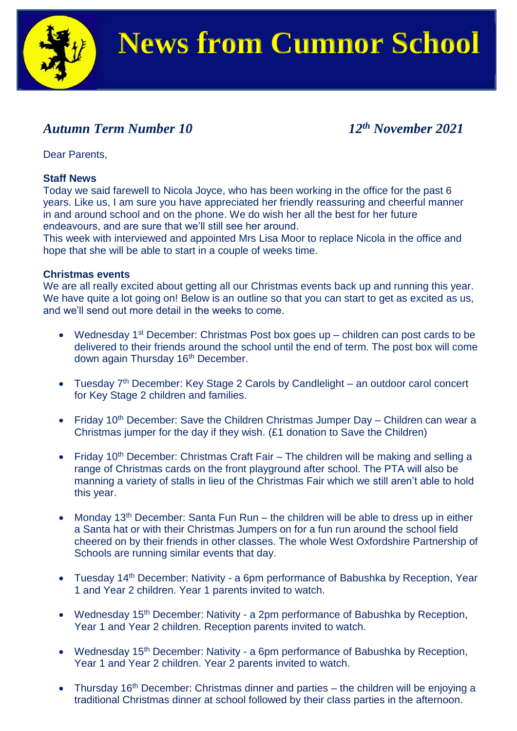

### *Autumn Term Number 10 12th November 2021*

Dear Parents,

### **Staff News**

Today we said farewell to Nicola Joyce, who has been working in the office for the past 6 years. Like us, I am sure you have appreciated her friendly reassuring and cheerful manner in and around school and on the phone. We do wish her all the best for her future endeavours, and are sure that we'll still see her around.

This week with interviewed and appointed Mrs Lisa Moor to replace Nicola in the office and hope that she will be able to start in a couple of weeks time.

#### **Christmas events**

We are all really excited about getting all our Christmas events back up and running this year. We have quite a lot going on! Below is an outline so that you can start to get as excited as us, and we'll send out more detail in the weeks to come.

- Wednesday 1<sup>st</sup> December: Christmas Post box goes up  $-$  children can post cards to be delivered to their friends around the school until the end of term. The post box will come down again Thursday 16<sup>th</sup> December.
- Tuesday 7<sup>th</sup> December: Key Stage 2 Carols by Candlelight an outdoor carol concert for Key Stage 2 children and families.
- Friday 10<sup>th</sup> December: Save the Children Christmas Jumper Day Children can wear a Christmas jumper for the day if they wish. (£1 donation to Save the Children)
- Friday 10<sup>th</sup> December: Christmas Craft Fair The children will be making and selling a range of Christmas cards on the front playground after school. The PTA will also be manning a variety of stalls in lieu of the Christmas Fair which we still aren't able to hold this year.
- Monday 13<sup>th</sup> December: Santa Fun Run the children will be able to dress up in either a Santa hat or with their Christmas Jumpers on for a fun run around the school field cheered on by their friends in other classes. The whole West Oxfordshire Partnership of Schools are running similar events that day.
- Tuesday 14<sup>th</sup> December: Nativity a 6pm performance of Babushka by Reception, Year 1 and Year 2 children. Year 1 parents invited to watch.
- Wednesday  $15<sup>th</sup>$  December: Nativity a 2pm performance of Babushka by Reception, Year 1 and Year 2 children. Reception parents invited to watch.
- Wednesday  $15<sup>th</sup>$  December: Nativity a 6pm performance of Babushka by Reception, Year 1 and Year 2 children. Year 2 parents invited to watch.
- Thursday  $16<sup>th</sup>$  December: Christmas dinner and parties the children will be enjoying a traditional Christmas dinner at school followed by their class parties in the afternoon.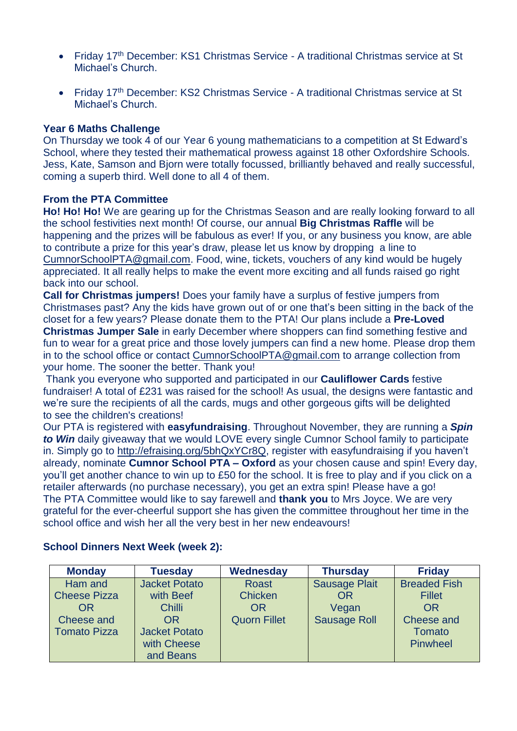- Friday 17<sup>th</sup> December: KS1 Christmas Service A traditional Christmas service at St Michael's Church.
- Friday 17<sup>th</sup> December: KS2 Christmas Service A traditional Christmas service at St Michael's Church.

### **Year 6 Maths Challenge**

On Thursday we took 4 of our Year 6 young mathematicians to a competition at St Edward's School, where they tested their mathematical prowess against 18 other Oxfordshire Schools. Jess, Kate, Samson and Bjorn were totally focussed, brilliantly behaved and really successful, coming a superb third. Well done to all 4 of them.

### **From the PTA Committee**

**Ho! Ho! Ho!** We are gearing up for the Christmas Season and are really looking forward to all the school festivities next month! Of course, our annual **Big Christmas Raffle** will be happening and the prizes will be fabulous as ever! If you, or any business you know, are able to contribute a prize for this year's draw, please let us know by dropping a line to [CumnorSchoolPTA@gmail.com.](mailto:CumnorSchoolPTA@gmail.com) Food, wine, tickets, vouchers of any kind would be hugely appreciated. It all really helps to make the event more exciting and all funds raised go right back into our school.

**Call for Christmas jumpers!** Does your family have a surplus of festive jumpers from Christmases past? Any the kids have grown out of or one that's been sitting in the back of the closet for a few years? Please donate them to the PTA! Our plans include a **Pre-Loved Christmas Jumper Sale** in early December where shoppers can find something festive and fun to wear for a great price and those lovely jumpers can find a new home. Please drop them

in to the school office or contact [CumnorSchoolPTA@gmail.com](mailto:CumnorSchoolPTA@gmail.com) to arrange collection from your home. The sooner the better. Thank you!

Thank you everyone who supported and participated in our **Cauliflower Cards** festive fundraiser! A total of £231 was raised for the school! As usual, the designs were fantastic and we're sure the recipients of all the cards, mugs and other gorgeous gifts will be delighted to see the children's creations!

Our PTA is registered with **easyfundraising**. Throughout November, they are running a *Spin to Win* daily giveaway that we would LOVE every single Cumnor School family to participate in. Simply go to [http://efraising.org/5bhQxYCr8Q,](http://efraising.org/5bhQxYCr8Q) register with easyfundraising if you haven't already, nominate **Cumnor School PTA – Oxford** as your chosen cause and spin! Every day, you'll get another chance to win up to £50 for the school. It is free to play and if you click on a retailer afterwards (no purchase necessary), you get an extra spin! Please have a go! The PTA Committee would like to say farewell and **thank you** to Mrs Joyce. We are very grateful for the ever-cheerful support she has given the committee throughout her time in the school office and wish her all the very best in her new endeavours!

| <b>Monday</b>       | <b>Tuesday</b>       | Wednesday           | <b>Thursday</b>      | <b>Friday</b>       |
|---------------------|----------------------|---------------------|----------------------|---------------------|
| Ham and             | <b>Jacket Potato</b> | <b>Roast</b>        | <b>Sausage Plait</b> | <b>Breaded Fish</b> |
| <b>Cheese Pizza</b> | with Beef            | <b>Chicken</b>      | OR                   | <b>Fillet</b>       |
| OR                  | <b>Chilli</b>        | OR                  | Vegan                | OR                  |
| Cheese and          | <b>OR</b>            | <b>Quorn Fillet</b> | <b>Sausage Roll</b>  | Cheese and          |
| <b>Tomato Pizza</b> | <b>Jacket Potato</b> |                     |                      | <b>Tomato</b>       |
|                     | with Cheese          |                     |                      | Pinwheel            |
|                     | and Beans            |                     |                      |                     |

### **School Dinners Next Week (week 2):**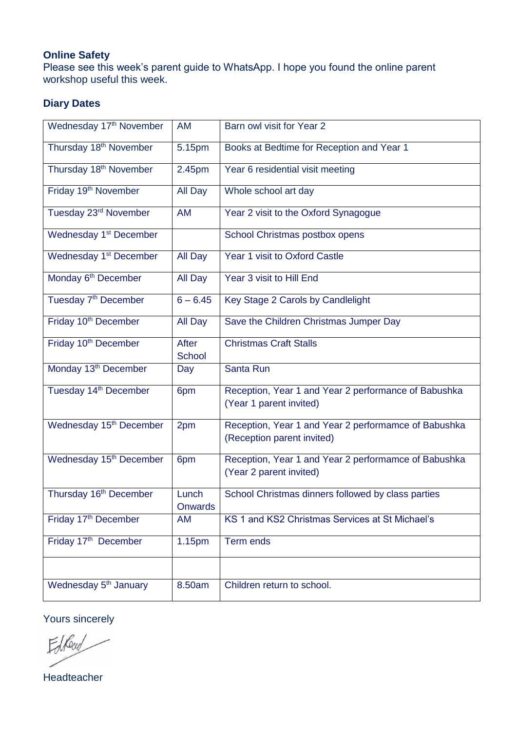### **Online Safety**

Please see this week's parent guide to WhatsApp. I hope you found the online parent workshop useful this week.

### **Diary Dates**

| Wednesday 17th November             | AM                            | Barn owl visit for Year 2                                                          |  |
|-------------------------------------|-------------------------------|------------------------------------------------------------------------------------|--|
| Thursday 18 <sup>th</sup> November  | 5.15pm                        | Books at Bedtime for Reception and Year 1                                          |  |
| Thursday 18 <sup>th</sup> November  | 2.45pm                        | Year 6 residential visit meeting                                                   |  |
| Friday 19 <sup>th</sup> November    | All Day                       | Whole school art day                                                               |  |
| Tuesday 23rd November               | AM                            | Year 2 visit to the Oxford Synagogue                                               |  |
| Wednesday 1 <sup>st</sup> December  |                               | School Christmas postbox opens                                                     |  |
| Wednesday 1 <sup>st</sup> December  | All Day                       | Year 1 visit to Oxford Castle                                                      |  |
| Monday 6 <sup>th</sup> December     | All Day                       | Year 3 visit to Hill End                                                           |  |
| Tuesday 7 <sup>th</sup> December    | $6 - 6.45$                    | Key Stage 2 Carols by Candlelight                                                  |  |
| Friday 10 <sup>th</sup> December    | All Day                       | Save the Children Christmas Jumper Day                                             |  |
| Friday 10 <sup>th</sup> December    | <b>After</b><br><b>School</b> | <b>Christmas Craft Stalls</b>                                                      |  |
| Monday 13 <sup>th</sup> December    | Day                           | Santa Run                                                                          |  |
| Tuesday 14 <sup>th</sup> December   | 6pm                           | Reception, Year 1 and Year 2 performance of Babushka<br>(Year 1 parent invited)    |  |
| Wednesday 15 <sup>th</sup> December | 2pm                           | Reception, Year 1 and Year 2 performamce of Babushka<br>(Reception parent invited) |  |
| Wednesday 15 <sup>th</sup> December | 6pm                           | Reception, Year 1 and Year 2 performamce of Babushka<br>(Year 2 parent invited)    |  |
| Thursday 16 <sup>th</sup> December  | Lunch<br>Onwards              | School Christmas dinners followed by class parties                                 |  |
| Friday 17 <sup>th</sup> December    | AM                            | KS 1 and KS2 Christmas Services at St Michael's                                    |  |
| Friday 17th December                | 1.15pm                        | Term ends                                                                          |  |
|                                     |                               |                                                                                    |  |
| Wednesday 5 <sup>th</sup> January   | 8.50am                        | Children return to school.                                                         |  |

Yours sincerely

ElReco

Headteacher